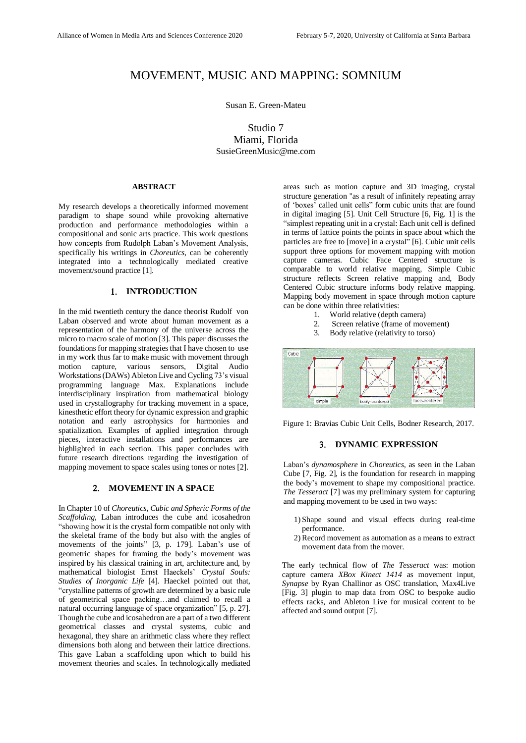# MOVEMENT, MUSIC AND MAPPING: SOMNIUM

Susan E. Green-Mateu

Studio 7 Miami, Florida SusieGreenMusic@me.com

#### **ABSTRACT**

My research develops a theoretically informed movement paradigm to shape sound while provoking alternative production and performance methodologies within a compositional and sonic arts practice. This work questions how concepts from Rudolph Laban's Movement Analysis, specifically his writings in *Choreutics*, can be coherently integrated into a technologically mediated creative movement/sound practice [1].

#### 1. **INTRODUCTION**

In the mid twentieth century the dance theorist Rudolf von Laban observed and wrote about human movement as a representation of the harmony of the universe across the micro to macro scale of motion [3]. This paper discusses the foundations for mapping strategies that I have chosen to use in my work thus far to make music with movement through motion capture, various sensors, Digital Audio Workstations(DAWs) Ableton Live and Cycling 73's visual programming language Max. Explanations include interdisciplinary inspiration from mathematical biology used in crystallography for tracking movement in a space, kinesthetic effort theory for dynamic expression and graphic notation and early astrophysics for harmonies and spatialization. Examples of applied integration through pieces, interactive installations and performances are highlighted in each section. This paper concludes with future research directions regarding the investigation of mapping movement to space scales using tones or notes [2].

## **MOVEMENT IN A SPACE**

In Chapter 10 of *Choreutics*, *Cubic and Spheric Forms of the Scaffolding*, Laban introduces the cube and icosahedron "showing how it is the crystal form compatible not only with the skeletal frame of the body but also with the angles of movements of the joints" [3, p. 179]. Laban's use of geometric shapes for framing the body's movement was inspired by his classical training in art, architecture and, by mathematical biologist Ernst Haeckels' *Crystal Souls: Studies of Inorganic Life* [4]*.* Haeckel pointed out that, "crystalline patterns of growth are determined by a basic rule of geometrical space packing…and claimed to recall a natural occurring language of space organization" [5, p. 27]. Though the cube and icosahedron are a part of a two different geometrical classes and crystal systems, cubic and hexagonal, they share an arithmetic class where they reflect dimensions both along and between their lattice directions. This gave Laban a scaffolding upon which to build his movement theories and scales. In technologically mediated areas such as motion capture and 3D imaging, crystal structure generation "as a result of infinitely repeating array of 'boxes' called unit cells" form cubic units that are found in digital imaging [5]. Unit Cell Structure [6, Fig. 1] is the "simplest repeating unit in a crystal: Each unit cell is defined in terms of lattice points the points in space about which the particles are free to [move] in a crystal" [6]. Cubic unit cells support three options for movement mapping with motion capture cameras. Cubic Face Centered structure is comparable to world relative mapping, Simple Cubic structure reflects Screen relative mapping and, Body Centered Cubic structure informs body relative mapping. Mapping body movement in space through motion capture can be done within three relativities:

- 1. World relative (depth camera)
- 2. Screen relative (frame of movement)
- 3. Body relative (relativity to torso)



Figure 1: Bravias Cubic Unit Cells, Bodner Research, 2017.

### **DYNAMIC EXPRESSION**

Laban's *dynamosphere* in *Choreutics*, as seen in the Laban Cube [7, Fig. 2], is the foundation for research in mapping the body's movement to shape my compositional practice. *The Tesseract* [7] was my preliminary system for capturing and mapping movement to be used in two ways:

- 1) Shape sound and visual effects during real-time performance.
- 2) Record movement as automation as a means to extract movement data from the mover.

The early technical flow of *The Tesseract* was: motion capture camera *XBox Kinect 1414* as movement input, *Synapse* by Ryan Challinor as OSC translation, Max4Live [Fig. 3] plugin to map data from OSC to bespoke audio effects racks, and Ableton Live for musical content to be affected and sound output [7].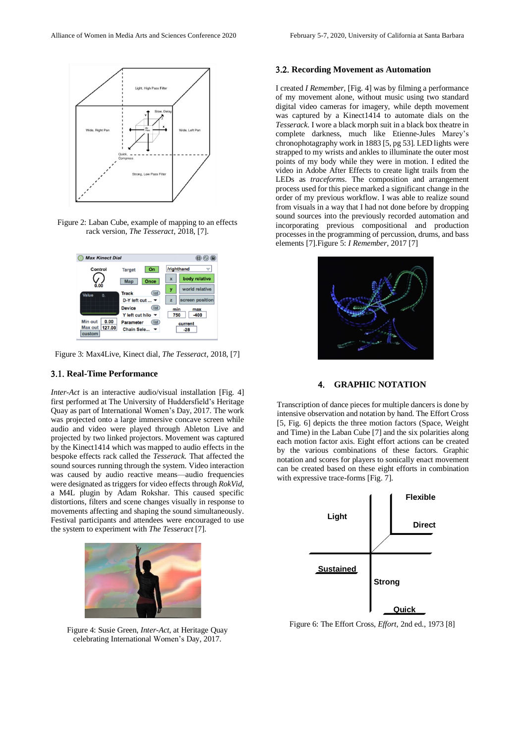

Figure 2: Laban Cube, example of mapping to an effects rack version, *The Tesseract*, 2018, [7].



Figure 3: Max4Live, Kinect dial, *The Tesseract*, 2018, [7]

## **Real-Time Performance**

*Inter-Act* is an interactive audio/visual installation [Fig. 4] first performed at The University of Huddersfield's Heritage Quay as part of International Women's Day, 2017. The work was projected onto a large immersive concave screen while audio and video were played through Ableton Live and projected by two linked projectors. Movement was captured by the Kinect1414 which was mapped to audio effects in the bespoke effects rack called the *Tesserack.* That affected the sound sources running through the system. Video interaction was caused by audio reactive means—audio frequencies were designated as triggers for video effects through *RokVid*, a M4L plugin by Adam Rokshar. This caused specific distortions, filters and scene changes visually in response to movements affecting and shaping the sound simultaneously. Festival participants and attendees were encouraged to use the system to experiment with *The Tesseract* [7].



Figure 4: Susie Green, *Inter-Act*, at Heritage Quay celebrating International Women's Day, 2017.

#### **Recording Movement as Automation**

I created *I Remember,* [Fig. 4] was by filming a performance of my movement alone, without music using two standard digital video cameras for imagery, while depth movement was captured by a Kinect1414 to automate dials on the *Tesserack*. I wore a black morph suit in a black box theatre in complete darkness, much like Etienne-Jules Marey's chronophotagraphy work in 1883 [5, pg 53]. LED lights were strapped to my wrists and ankles to illuminate the outer most points of my body while they were in motion. I edited the video in Adobe After Effects to create light trails from the LEDs as *traceforms*. The composition and arrangement process used for this piece marked a significant change in the order of my previous workflow. I was able to realize sound from visuals in a way that I had not done before by dropping sound sources into the previously recorded automation and incorporating previous compositional and production processes in the programming of percussion, drums, and bass elements [7].Figure 5: *I Remember*, 2017 [7]



## **GRAPHIC NOTATION**

Transcription of dance pieces for multiple dancers is done by intensive observation and notation by hand. The Effort Cross [5, Fig. 6] depicts the three motion factors (Space, Weight and Time) in the Laban Cube [7] and the six polarities along each motion factor axis. Eight effort actions can be created by the various combinations of these factors. Graphic notation and scores for players to sonically enact movement can be created based on these eight efforts in combination with expressive trace-forms [Fig. 7].



Figure 6: The Effort Cross, *Effort*, 2nd ed., 1973 [8]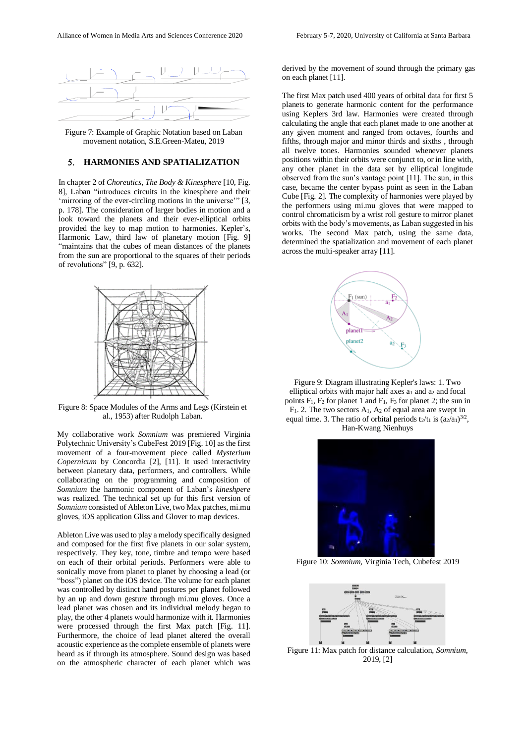

Figure 7: Example of Graphic Notation based on Laban movement notation, S.E.Green-Mateu, 2019

## **HARMONIES AND SPATIALIZATION**

In chapter 2 of *Choreutics*, *The Body & Kinesphere* [10, Fig. 8]*,* Laban "introduces circuits in the kinesphere and their 'mirroring of the ever-circling motions in the universe'" [3, p. 178]. The consideration of larger bodies in motion and a look toward the planets and their ever-elliptical orbits provided the key to map motion to harmonies. Kepler's, Harmonic Law, third law of planetary motion [Fig. 9] "maintains that the cubes of mean distances of the planets from the sun are proportional to the squares of their periods of revolutions"  $[9, p. 632]$ .



Figure 8: Space Modules of the Arms and Legs (Kirstein et al., 1953) after Rudolph Laban.

My collaborative work *Somnium* was premiered Virginia Polytechnic University's CubeFest 2019 [Fig. 10] as the first movement of a four-movement piece called *Mysterium Copernicum* by Concordia [2], [11]. It used interactivity between planetary data, performers, and controllers. While collaborating on the programming and composition of *Somnium* the harmonic component of Laban's *kineshpere* was realized. The technical set up for this first version of *Somnium* consisted of Ableton Live, two Max patches, mi.mu gloves, iOS application Gliss and Glover to map devices.

Ableton Live was used to play a melody specifically designed and composed for the first five planets in our solar system, respectively. They key, tone, timbre and tempo were based on each of their orbital periods. Performers were able to sonically move from planet to planet by choosing a lead (or "boss") planet on the iOS device. The volume for each planet was controlled by distinct hand postures per planet followed by an up and down gesture through mi.mu gloves. Once a lead planet was chosen and its individual melody began to play, the other 4 planets would harmonize with it. Harmonies were processed through the first Max patch [Fig. 11]. Furthermore, the choice of lead planet altered the overall acoustic experience asthe complete ensemble of planets were heard as if through its atmosphere. Sound design was based on the atmospheric character of each planet which was

derived by the movement of sound through the primary gas on each planet [11].

The first Max patch used 400 years of orbital data for first 5 planets to generate harmonic content for the performance using Keplers 3rd law. Harmonies were created through calculating the angle that each planet made to one another at any given moment and ranged from octaves, fourths and fifths, through major and minor thirds and sixths , through all twelve tones. Harmonies sounded whenever planets positions within their orbits were conjunct to, or in line with, any other planet in the data set by elliptical longitude observed from the sun's vantage point [11]. The sun, in this case, became the center bypass point as seen in the Laban Cube [Fig. 2]. The complexity of harmonies were played by the performers using mi.mu gloves that were mapped to control chromaticism by a wrist roll gesture to mirror planet orbits with the body's movements, as Laban suggested in his works. The second Max patch, using the same data, determined the spatialization and movement of each planet across the multi-speaker array [11].



Figure 9: Diagram illustrating Kepler's laws: 1. Two elliptical orbits with major half axes  $a_1$  and  $a_2$  and focal points  $F_1$ ,  $F_2$  for planet 1 and  $F_1$ ,  $F_3$  for planet 2; the sun in F1. 2. The two sectors A1, A<sup>2</sup> of equal area are swept in equal time. 3. The ratio of orbital periods  $t_2/t_1$  is  $(a_2/a_1)^{3/2}$ , Han-Kwang Nienhuys



Figure 10: *Somnium*, Virginia Tech, Cubefest 2019



Figure 11: Max patch for distance calculation, *Somnium*, 2019, [2]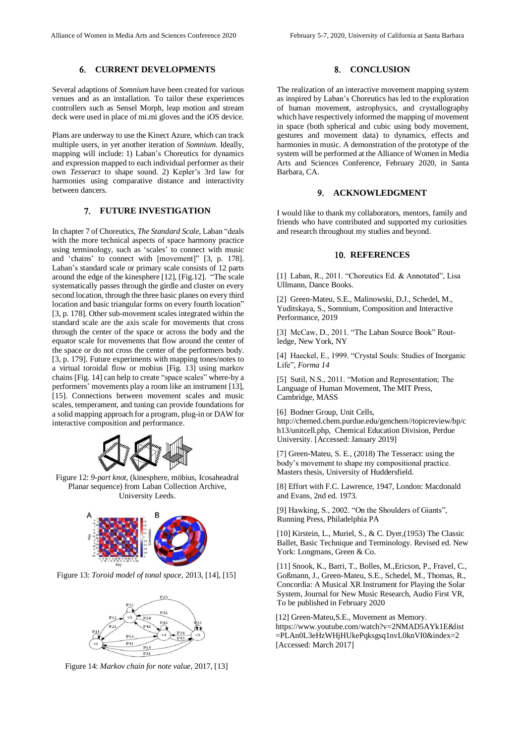# **CURRENT DEVELOPMENTS**

Several adaptions of *Somnium* have been created for various venues and as an installation. To tailor these experiences controllers such as Sensel Morph, leap motion and stream deck were used in place of mi.mi gloves and the iOS device.

Plans are underway to use the Kinect Azure, which can track multiple users, in yet another iteration of *Somnium.* Ideally, mapping will include: 1) Laban's Choreutics for dynamics and expression mapped to each individual performer as their own *Tesseract* to shape sound. 2) Kepler's 3rd law for harmonies using comparative distance and interactivity between dancers.

# **FUTURE INVESTIGATION**

In chapter 7 of Choreutics, *The Standard Scale*, Laban "deals with the more technical aspects of space harmony practice using terminology, such as 'scales' to connect with music and 'chains' to connect with [movement]" [3, p. 178]. Laban's standard scale or primary scale consists of 12 parts around the edge of the kinesphere [12], [Fig.12]. "The scale systematically passes through the girdle and cluster on every second location, through the three basic planes on every third location and basic triangular forms on every fourth location" [3, p. 178]. Other sub-movement scales integrated within the standard scale are the axis scale for movements that cross through the center of the space or across the body and the equator scale for movements that flow around the center of the space or do not cross the center of the performers body. [3, p. 179]. Future experiments with mapping tones/notes to a virtual toroidal flow or mobius [Fig. 13] using markov chains [Fig. 14] can help to create "space scales" where-by a performers' movements play a room like an instrument [13], [15]. Connections between movement scales and music scales, temperament, and tuning can provide foundations for a solid mapping approach for a program, plug-in or DAW for interactive composition and performance.



Figure 12: *9-part knot*, (kinesphere, möbius, Icosaheadral Planar sequence) from Laban Collection Archive, University Leeds.



Figure 13: *Toroid model of tonal space*, 2013, [14], [15]



Figure 14: *Markov chain for note value,* 2017, [13]

#### 8. CONCLUSION

The realization of an interactive movement mapping system as inspired by Laban's Choreutics has led to the exploration of human movement, astrophysics, and crystallography which have respectively informed the mapping of movement in space (both spherical and cubic using body movement, gestures and movement data) to dynamics, effects and harmonies in music. A demonstration of the prototype of the system will be performed at the Alliance of Women in Media Arts and Sciences Conference, February 2020, in Santa Barbara, CA.

### **ACKNOWLEDGMENT**

I would like to thank my collaborators, mentors, family and friends who have contributed and supported my curiosities and research throughout my studies and beyond.

## **10. REFERENCES**

[1] Laban, R., 2011. "Choreutics Ed. & Annotated", Lisa Ullmann, Dance Books.

[2] Green-Mateu, S.E., Malinowski, D.J., Schedel, M., Yuditskaya, S., Somnium*,* Composition and Interactive Performance, 2019

[3] McCaw, D., 2011. "The Laban Source Book" Routledge, New York, NY

[4] Haeckel, E., 1999. "Crystal Souls: Studies of Inorganic Life"*, Forma 14*

[5] Sutil, N.S., 2011. "Motion and Representation; The Language of Human Movement, The MIT Press, Cambridge, MASS

[6] Bodner Group, Unit Cells, http://chemed.chem.purdue.edu/genchem//topicreview/bp/c h13/unitcell.php, Chemical Education Division, Perdue University. [Accessed: January 2019]

[7] Green-Mateu, S. E., (2018) The Tesseract: using the body's movement to shape my compositional practice. Masters thesis, University of Huddersfield.

[8] Effort with F.C. Lawrence, 1947, London: Macdonald and Evans, 2nd ed. 1973.

[9] Hawking, S., 2002. "On the Shoulders of Giants", Running Press, Philadelphia PA

[10] Kirstein, L., Muriel, S., & C. Dyer,(1953) The Classic Ballet, Basic Technique and Terminology. Revised ed. New York: Longmans, Green & Co.

[11] Snook, K., Barri, T., Bolles, M.,Ericson, P., Fravel, C., Goßmann, J., Green-Mateu, S.E., Schedel, M., Thomas, R., Concordia: A Musical XR Instrument for Playing the Solar System, Journal for New Music Research, Audio First VR, To be published in February 2020

[12] Green-Mateu, S.E., Movement as Memory. [https://www.youtube.com/watch?v=2NMAD5AYk1E&list](https://www.youtube.com/watch?v=2NMAD5AYk1E&list=PLAn0L3eHzWHjHUkePqksgsq1nvL0knVI0&index=2) [=PLAn0L3eHzWHjHUkePqksgsq1nvL0knVI0&index=2](https://www.youtube.com/watch?v=2NMAD5AYk1E&list=PLAn0L3eHzWHjHUkePqksgsq1nvL0knVI0&index=2) [Accessed: March 2017]